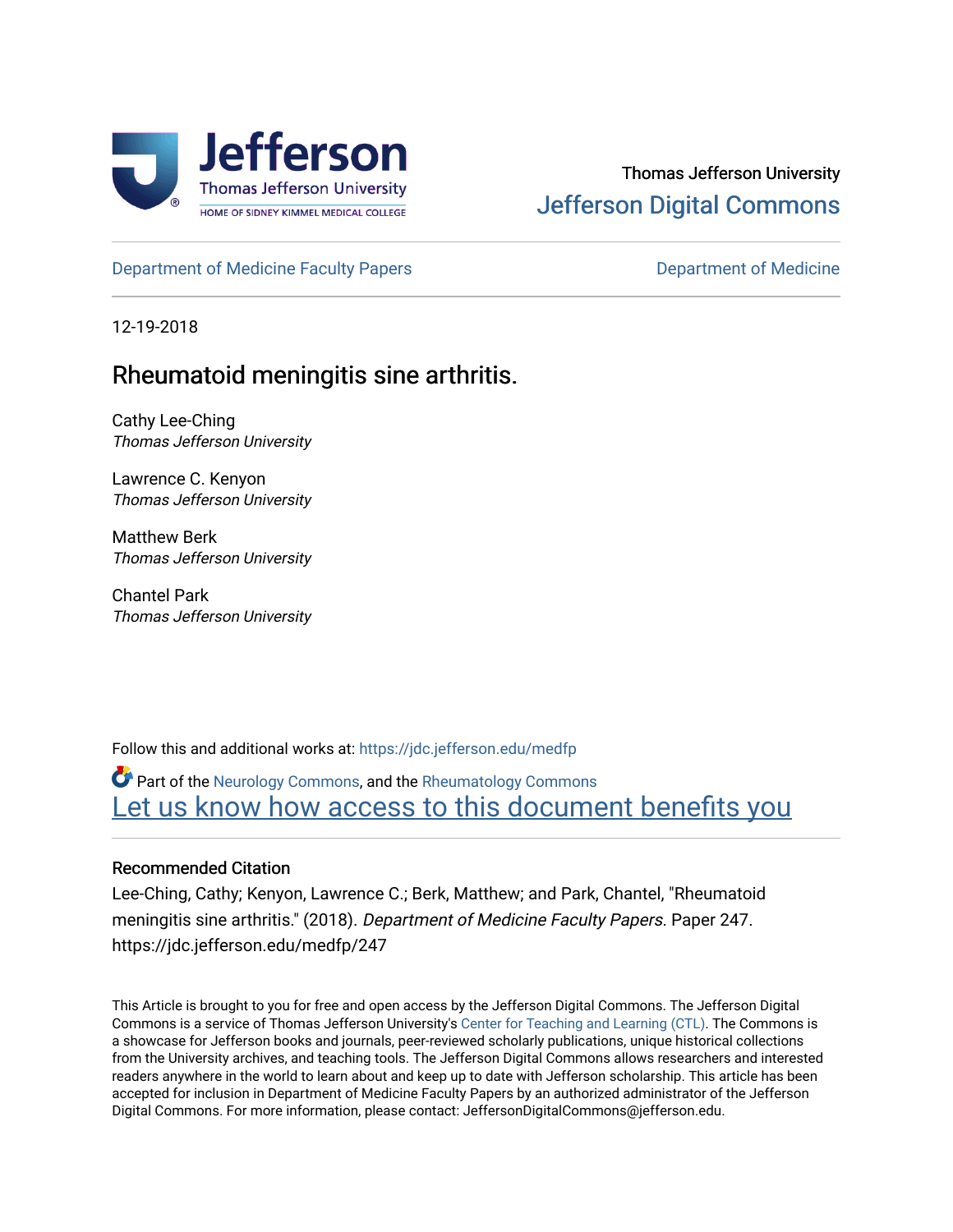

# Thomas Jefferson University [Jefferson Digital Commons](https://jdc.jefferson.edu/)

[Department of Medicine Faculty Papers](https://jdc.jefferson.edu/medfp) **Department of Medicine** 

12-19-2018

# Rheumatoid meningitis sine arthritis.

Cathy Lee-Ching Thomas Jefferson University

Lawrence C. Kenyon Thomas Jefferson University

Matthew Berk Thomas Jefferson University

Chantel Park Thomas Jefferson University

Follow this and additional works at: [https://jdc.jefferson.edu/medfp](https://jdc.jefferson.edu/medfp?utm_source=jdc.jefferson.edu%2Fmedfp%2F247&utm_medium=PDF&utm_campaign=PDFCoverPages) 

Part of the [Neurology Commons](http://network.bepress.com/hgg/discipline/692?utm_source=jdc.jefferson.edu%2Fmedfp%2F247&utm_medium=PDF&utm_campaign=PDFCoverPages), and the [Rheumatology Commons](http://network.bepress.com/hgg/discipline/1093?utm_source=jdc.jefferson.edu%2Fmedfp%2F247&utm_medium=PDF&utm_campaign=PDFCoverPages)  Let us know how access to this document benefits you

## Recommended Citation

Lee-Ching, Cathy; Kenyon, Lawrence C.; Berk, Matthew; and Park, Chantel, "Rheumatoid meningitis sine arthritis." (2018). Department of Medicine Faculty Papers. Paper 247. https://jdc.jefferson.edu/medfp/247

This Article is brought to you for free and open access by the Jefferson Digital Commons. The Jefferson Digital Commons is a service of Thomas Jefferson University's [Center for Teaching and Learning \(CTL\)](http://www.jefferson.edu/university/teaching-learning.html/). The Commons is a showcase for Jefferson books and journals, peer-reviewed scholarly publications, unique historical collections from the University archives, and teaching tools. The Jefferson Digital Commons allows researchers and interested readers anywhere in the world to learn about and keep up to date with Jefferson scholarship. This article has been accepted for inclusion in Department of Medicine Faculty Papers by an authorized administrator of the Jefferson Digital Commons. For more information, please contact: JeffersonDigitalCommons@jefferson.edu.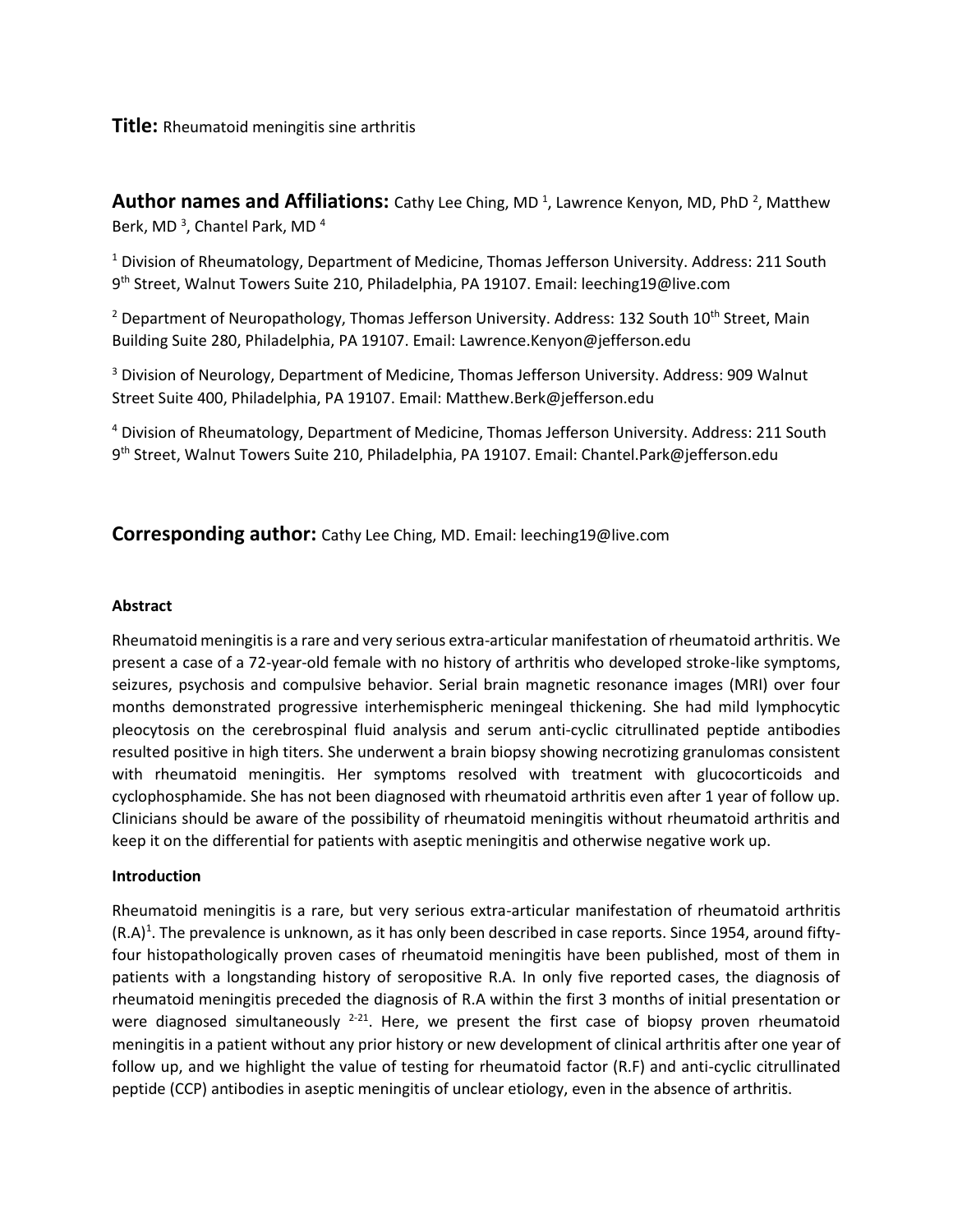### **Title:** Rheumatoid meningitis sine arthritis

**Author names and Affiliations:** Cathy Lee Ching, MD<sup>1</sup>, Lawrence Kenyon, MD, PhD<sup>2</sup>, Matthew Berk, MD<sup>3</sup>, Chantel Park, MD<sup>4</sup>

 $1$  Division of Rheumatology, Department of Medicine, Thomas Jefferson University. Address: 211 South 9 th Street, Walnut Towers Suite 210, Philadelphia, PA 19107. Email: leeching19@live.com

<sup>2</sup> Department of Neuropathology, Thomas Jefferson University. Address: 132 South 10<sup>th</sup> Street, Main Building Suite 280, Philadelphia, PA 19107. Email: Lawrence.Kenyon@jefferson.edu

<sup>3</sup> Division of Neurology, Department of Medicine, Thomas Jefferson University. Address: 909 Walnut Street Suite 400, Philadelphia, PA 19107. Email: Matthew.Berk@jefferson.edu

<sup>4</sup> Division of Rheumatology, Department of Medicine, Thomas Jefferson University. Address: 211 South 9 th Street, Walnut Towers Suite 210, Philadelphia, PA 19107. Email: Chantel.Park@jefferson.edu

## **Corresponding author:** Cathy Lee Ching, MD. Email: leeching19@live.com

#### **Abstract**

Rheumatoid meningitis is a rare and very serious extra-articular manifestation of rheumatoid arthritis. We present a case of a 72-year-old female with no history of arthritis who developed stroke-like symptoms, seizures, psychosis and compulsive behavior. Serial brain magnetic resonance images (MRI) over four months demonstrated progressive interhemispheric meningeal thickening. She had mild lymphocytic pleocytosis on the cerebrospinal fluid analysis and serum anti-cyclic citrullinated peptide antibodies resulted positive in high titers. She underwent a brain biopsy showing necrotizing granulomas consistent with rheumatoid meningitis. Her symptoms resolved with treatment with glucocorticoids and cyclophosphamide. She has not been diagnosed with rheumatoid arthritis even after 1 year of follow up. Clinicians should be aware of the possibility of rheumatoid meningitis without rheumatoid arthritis and keep it on the differential for patients with aseptic meningitis and otherwise negative work up.

#### **Introduction**

Rheumatoid meningitis is a rare, but very serious extra-articular manifestation of rheumatoid arthritis  $(R.A)^1$ . The prevalence is unknown, as it has only been described in case reports. Since 1954, around fiftyfour histopathologically proven cases of rheumatoid meningitis have been published, most of them in patients with a longstanding history of seropositive R.A. In only five reported cases, the diagnosis of rheumatoid meningitis preceded the diagnosis of R.A within the first 3 months of initial presentation or were diagnosed simultaneously  $2-21$ . Here, we present the first case of biopsy proven rheumatoid meningitis in a patient without any prior history or new development of clinical arthritis after one year of follow up, and we highlight the value of testing for rheumatoid factor (R.F) and anti-cyclic citrullinated peptide (CCP) antibodies in aseptic meningitis of unclear etiology, even in the absence of arthritis.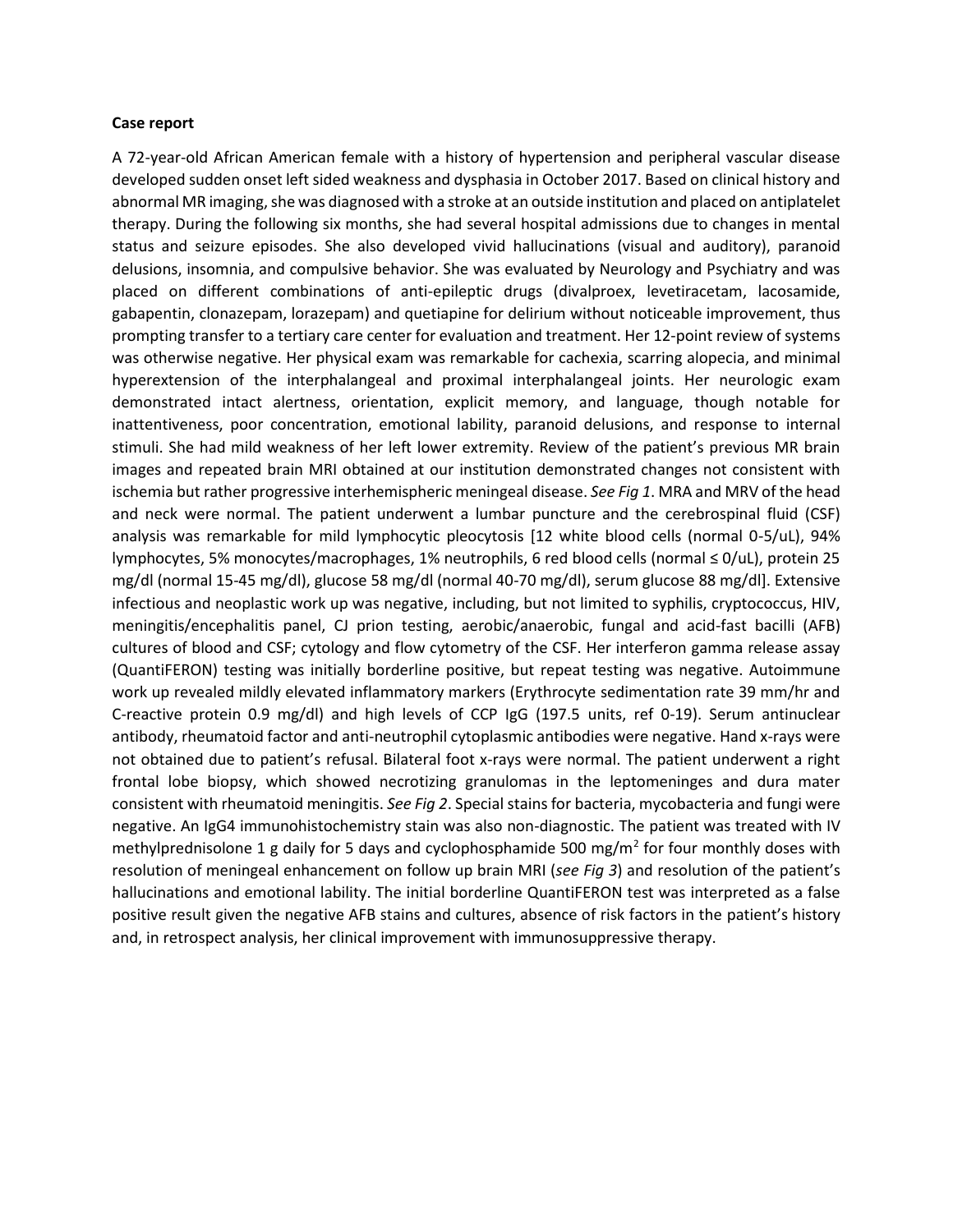#### **Case report**

A 72-year-old African American female with a history of hypertension and peripheral vascular disease developed sudden onset left sided weakness and dysphasia in October 2017. Based on clinical history and abnormal MR imaging, she was diagnosed with a stroke at an outside institution and placed on antiplatelet therapy. During the following six months, she had several hospital admissions due to changes in mental status and seizure episodes. She also developed vivid hallucinations (visual and auditory), paranoid delusions, insomnia, and compulsive behavior. She was evaluated by Neurology and Psychiatry and was placed on different combinations of anti-epileptic drugs (divalproex, levetiracetam, lacosamide, gabapentin, clonazepam, lorazepam) and quetiapine for delirium without noticeable improvement, thus prompting transfer to a tertiary care center for evaluation and treatment. Her 12-point review of systems was otherwise negative. Her physical exam was remarkable for cachexia, scarring alopecia, and minimal hyperextension of the interphalangeal and proximal interphalangeal joints. Her neurologic exam demonstrated intact alertness, orientation, explicit memory, and language, though notable for inattentiveness, poor concentration, emotional lability, paranoid delusions, and response to internal stimuli. She had mild weakness of her left lower extremity. Review of the patient's previous MR brain images and repeated brain MRI obtained at our institution demonstrated changes not consistent with ischemia but rather progressive interhemispheric meningeal disease. *See Fig 1*. MRA and MRV of the head and neck were normal. The patient underwent a lumbar puncture and the cerebrospinal fluid (CSF) analysis was remarkable for mild lymphocytic pleocytosis [12 white blood cells (normal 0-5/uL), 94% lymphocytes, 5% monocytes/macrophages, 1% neutrophils, 6 red blood cells (normal ≤ 0/uL), protein 25 mg/dl (normal 15-45 mg/dl), glucose 58 mg/dl (normal 40-70 mg/dl), serum glucose 88 mg/dl]. Extensive infectious and neoplastic work up was negative, including, but not limited to syphilis, cryptococcus, HIV, meningitis/encephalitis panel, CJ prion testing, aerobic/anaerobic, fungal and acid-fast bacilli (AFB) cultures of blood and CSF; cytology and flow cytometry of the CSF. Her interferon gamma release assay (QuantiFERON) testing was initially borderline positive, but repeat testing was negative. Autoimmune work up revealed mildly elevated inflammatory markers (Erythrocyte sedimentation rate 39 mm/hr and C-reactive protein 0.9 mg/dl) and high levels of CCP IgG (197.5 units, ref 0-19). Serum antinuclear antibody, rheumatoid factor and anti-neutrophil cytoplasmic antibodies were negative. Hand x-rays were not obtained due to patient's refusal. Bilateral foot x-rays were normal. The patient underwent a right frontal lobe biopsy, which showed necrotizing granulomas in the leptomeninges and dura mater consistent with rheumatoid meningitis. *See Fig 2*. Special stains for bacteria, mycobacteria and fungi were negative. An IgG4 immunohistochemistry stain was also non-diagnostic. The patient was treated with IV methylprednisolone 1 g daily for 5 days and cyclophosphamide 500 mg/m<sup>2</sup> for four monthly doses with resolution of meningeal enhancement on follow up brain MRI (*see Fig 3*) and resolution of the patient's hallucinations and emotional lability. The initial borderline QuantiFERON test was interpreted as a false positive result given the negative AFB stains and cultures, absence of risk factors in the patient's history and, in retrospect analysis, her clinical improvement with immunosuppressive therapy.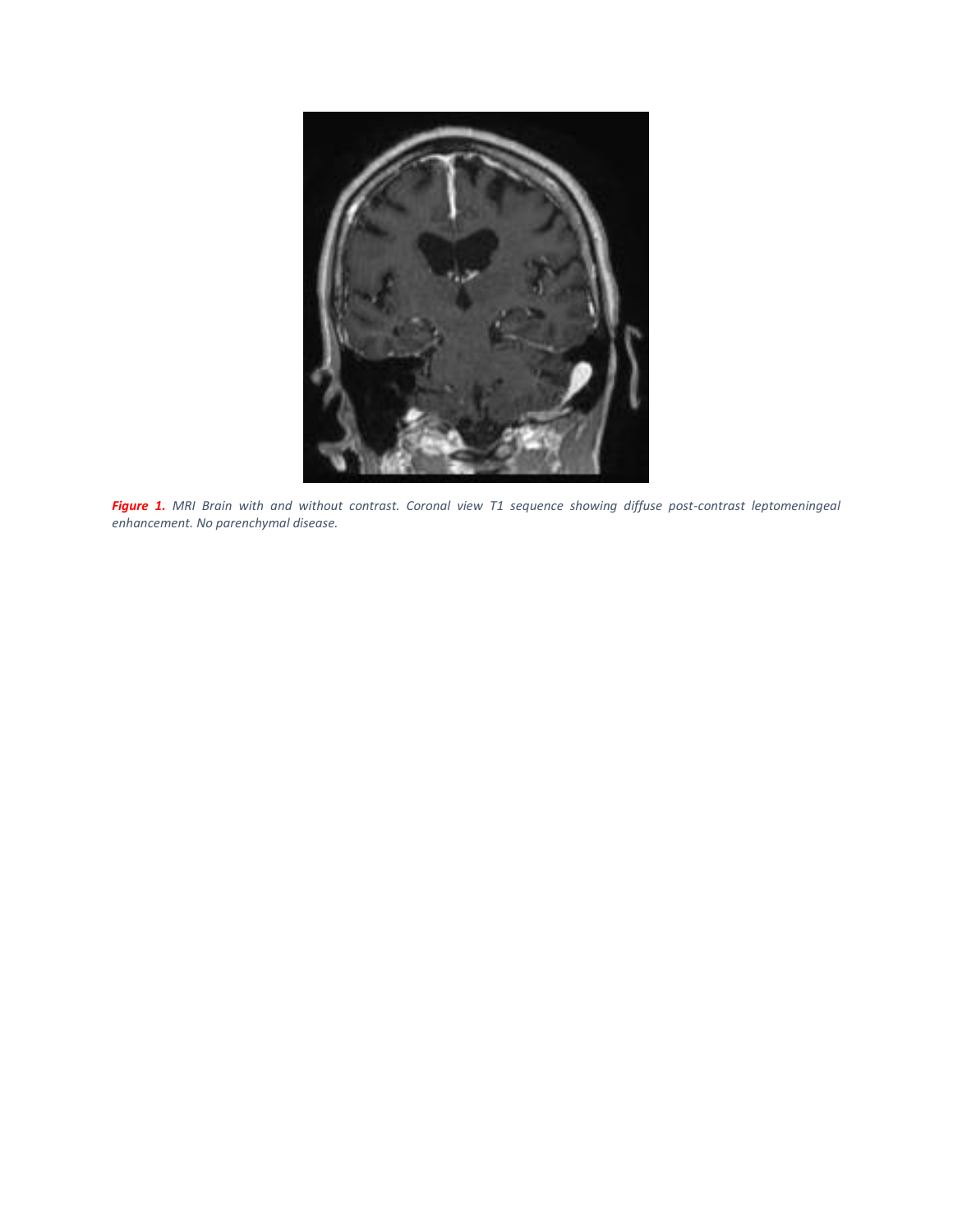

*Figure 1. MRI Brain with and without contrast. Coronal view T1 sequence showing diffuse post-contrast leptomeningeal enhancement. No parenchymal disease.*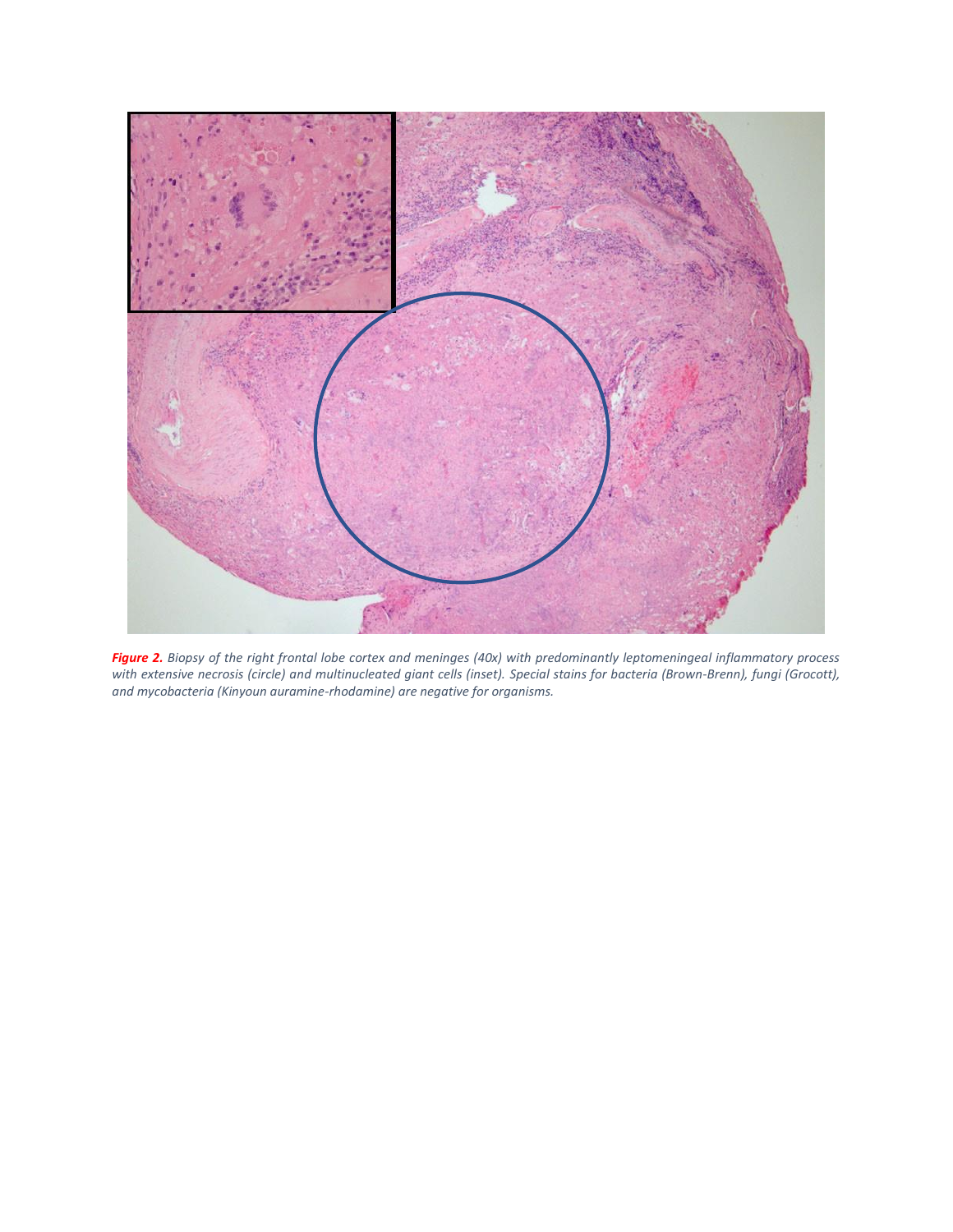

*Figure 2. Biopsy of the right frontal lobe cortex and meninges (40x) with predominantly leptomeningeal inflammatory process with extensive necrosis (circle) and multinucleated giant cells (inset). Special stains for bacteria (Brown-Brenn), fungi (Grocott), and mycobacteria (Kinyoun auramine-rhodamine) are negative for organisms.*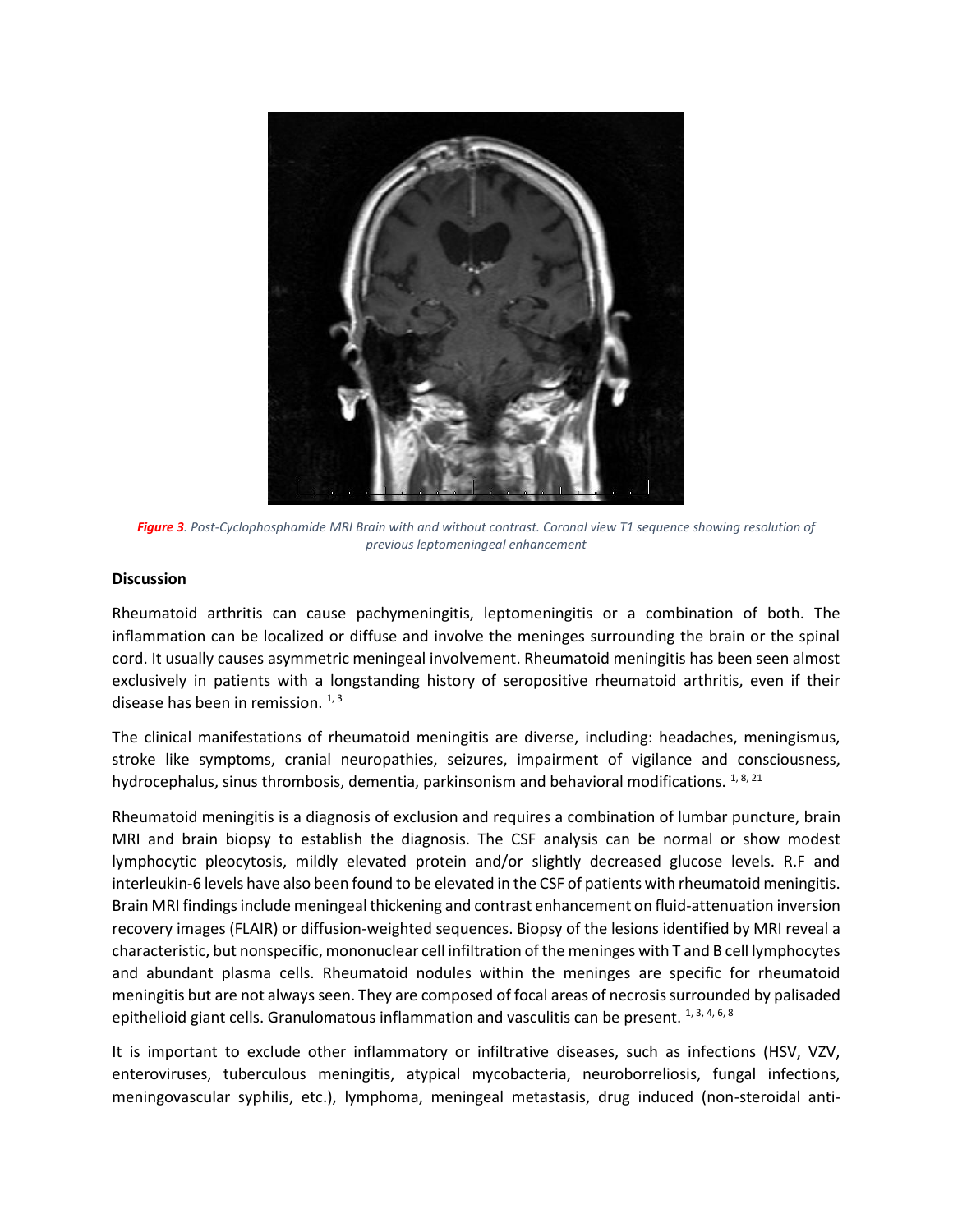

*Figure 3. Post-Cyclophosphamide MRI Brain with and without contrast. Coronal view T1 sequence showing resolution of previous leptomeningeal enhancement*

#### **Discussion**

Rheumatoid arthritis can cause pachymeningitis, leptomeningitis or a combination of both. The inflammation can be localized or diffuse and involve the meninges surrounding the brain or the spinal cord. It usually causes asymmetric meningeal involvement. Rheumatoid meningitis has been seen almost exclusively in patients with a longstanding history of seropositive rheumatoid arthritis, even if their disease has been in remission.  $1, 3$ 

The clinical manifestations of rheumatoid meningitis are diverse, including: headaches, meningismus, stroke like symptoms, cranial neuropathies, seizures, impairment of vigilance and consciousness, hydrocephalus, sinus thrombosis, dementia, parkinsonism and behavioral modifications.  $1, 8, 21$ 

Rheumatoid meningitis is a diagnosis of exclusion and requires a combination of lumbar puncture, brain MRI and brain biopsy to establish the diagnosis. The CSF analysis can be normal or show modest lymphocytic pleocytosis, mildly elevated protein and/or slightly decreased glucose levels. R.F and interleukin-6 levels have also been found to be elevated in the CSF of patients with rheumatoid meningitis. Brain MRI findings include meningeal thickening and contrast enhancement on fluid-attenuation inversion recovery images (FLAIR) or diffusion-weighted sequences. Biopsy of the lesions identified by MRI reveal a characteristic, but nonspecific, mononuclear cell infiltration of the meninges with T and B cell lymphocytes and abundant plasma cells. Rheumatoid nodules within the meninges are specific for rheumatoid meningitis but are not always seen. They are composed of focal areas of necrosis surrounded by palisaded epithelioid giant cells. Granulomatous inflammation and vasculitis can be present. 1, 3, 4, 6, 8

It is important to exclude other inflammatory or infiltrative diseases, such as infections (HSV, VZV, enteroviruses, tuberculous meningitis, atypical mycobacteria, neuroborreliosis, fungal infections, meningovascular syphilis, etc.), lymphoma, meningeal metastasis, drug induced (non-steroidal anti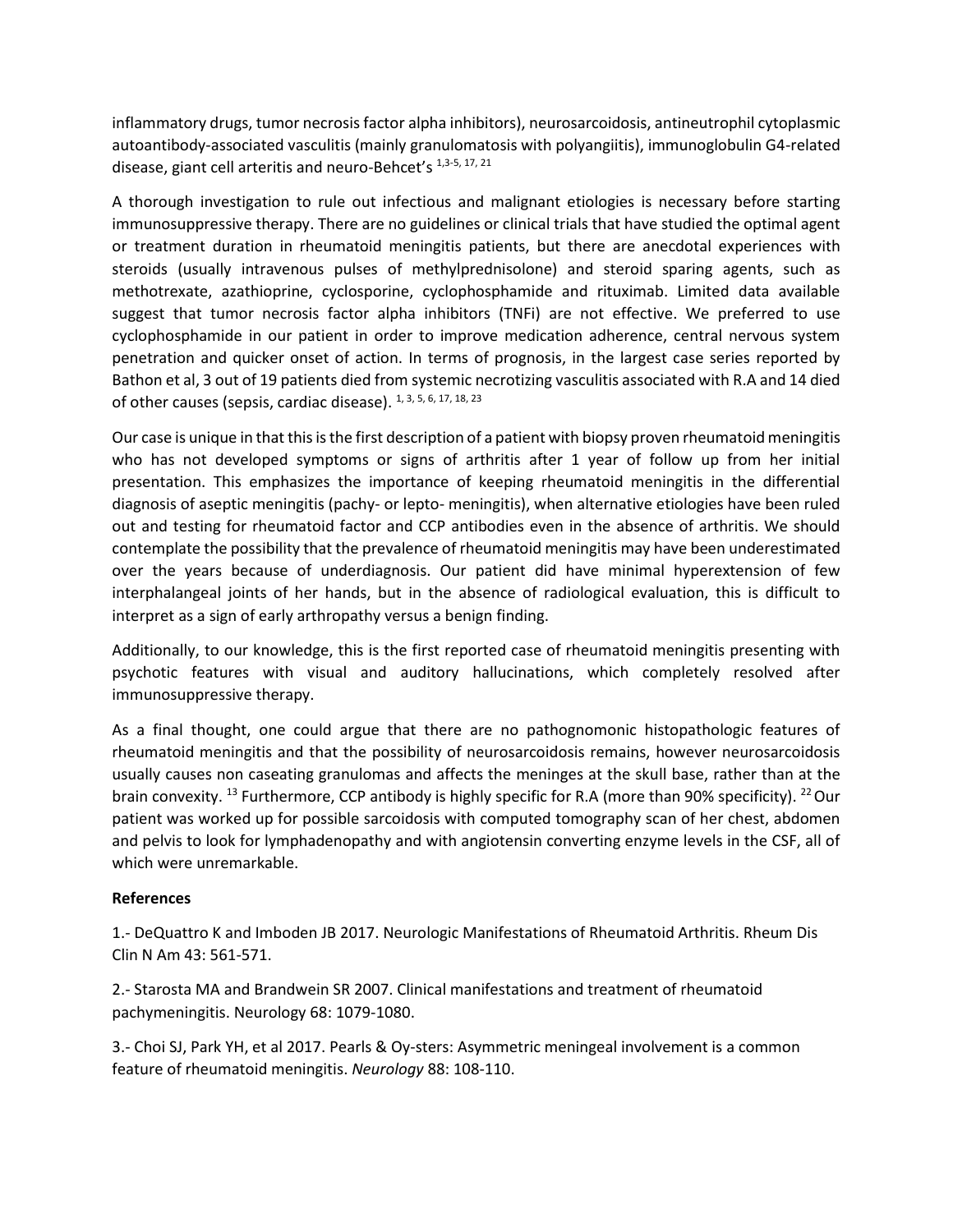inflammatory drugs, tumor necrosis factor alpha inhibitors), neurosarcoidosis, antineutrophil cytoplasmic autoantibody-associated vasculitis (mainly granulomatosis with polyangiitis), immunoglobulin G4-related disease, giant cell arteritis and neuro-Behcet's 1,3-5, 17, 21

A thorough investigation to rule out infectious and malignant etiologies is necessary before starting immunosuppressive therapy. There are no guidelines or clinical trials that have studied the optimal agent or treatment duration in rheumatoid meningitis patients, but there are anecdotal experiences with steroids (usually intravenous pulses of methylprednisolone) and steroid sparing agents, such as methotrexate, azathioprine, cyclosporine, cyclophosphamide and rituximab. Limited data available suggest that tumor necrosis factor alpha inhibitors (TNFi) are not effective. We preferred to use cyclophosphamide in our patient in order to improve medication adherence, central nervous system penetration and quicker onset of action. In terms of prognosis, in the largest case series reported by Bathon et al, 3 out of 19 patients died from systemic necrotizing vasculitis associated with R.A and 14 died of other causes (sepsis, cardiac disease).  $1, 3, 5, 6, 17, 18, 23$ 

Our case is unique in that this is the first description of a patient with biopsy proven rheumatoid meningitis who has not developed symptoms or signs of arthritis after 1 year of follow up from her initial presentation. This emphasizes the importance of keeping rheumatoid meningitis in the differential diagnosis of aseptic meningitis (pachy- or lepto- meningitis), when alternative etiologies have been ruled out and testing for rheumatoid factor and CCP antibodies even in the absence of arthritis. We should contemplate the possibility that the prevalence of rheumatoid meningitis may have been underestimated over the years because of underdiagnosis. Our patient did have minimal hyperextension of few interphalangeal joints of her hands, but in the absence of radiological evaluation, this is difficult to interpret as a sign of early arthropathy versus a benign finding.

Additionally, to our knowledge, this is the first reported case of rheumatoid meningitis presenting with psychotic features with visual and auditory hallucinations, which completely resolved after immunosuppressive therapy.

As a final thought, one could argue that there are no pathognomonic histopathologic features of rheumatoid meningitis and that the possibility of neurosarcoidosis remains, however neurosarcoidosis usually causes non caseating granulomas and affects the meninges at the skull base, rather than at the brain convexity. <sup>13</sup> Furthermore, CCP antibody is highly specific for R.A (more than 90% specificity). <sup>22</sup> Our patient was worked up for possible sarcoidosis with computed tomography scan of her chest, abdomen and pelvis to look for lymphadenopathy and with angiotensin converting enzyme levels in the CSF, all of which were unremarkable.

### **References**

1.- DeQuattro K and Imboden JB 2017. Neurologic Manifestations of Rheumatoid Arthritis. Rheum Dis Clin N Am 43: 561-571.

2.- Starosta MA and Brandwein SR 2007. Clinical manifestations and treatment of rheumatoid pachymeningitis. Neurology 68: 1079-1080.

3.- Choi SJ, Park YH, et al 2017. Pearls & Oy-sters: Asymmetric meningeal involvement is a common feature of rheumatoid meningitis. *Neurology* 88: 108-110.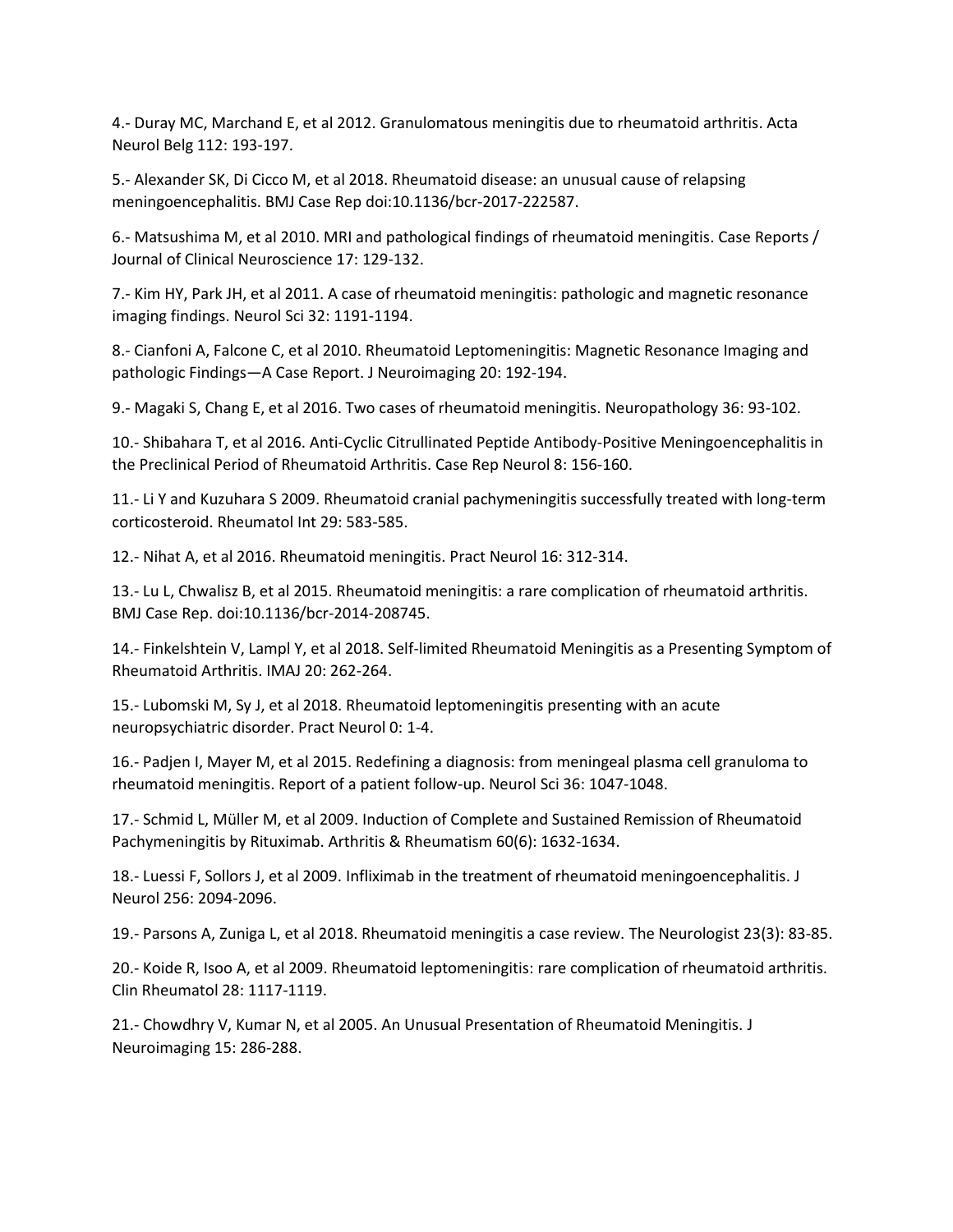4.- Duray MC, Marchand E, et al 2012. Granulomatous meningitis due to rheumatoid arthritis. Acta Neurol Belg 112: 193-197.

5.- Alexander SK, Di Cicco M, et al 2018. Rheumatoid disease: an unusual cause of relapsing meningoencephalitis. BMJ Case Rep doi:10.1136/bcr-2017-222587.

6.- Matsushima M, et al 2010. MRI and pathological findings of rheumatoid meningitis. Case Reports / Journal of Clinical Neuroscience 17: 129-132.

7.- Kim HY, Park JH, et al 2011. A case of rheumatoid meningitis: pathologic and magnetic resonance imaging findings. Neurol Sci 32: 1191-1194.

8.- Cianfoni A, Falcone C, et al 2010. Rheumatoid Leptomeningitis: Magnetic Resonance Imaging and pathologic Findings—A Case Report. J Neuroimaging 20: 192-194.

9.- Magaki S, Chang E, et al 2016. Two cases of rheumatoid meningitis. Neuropathology 36: 93-102.

10.- Shibahara T, et al 2016. Anti-Cyclic Citrullinated Peptide Antibody-Positive Meningoencephalitis in the Preclinical Period of Rheumatoid Arthritis. Case Rep Neurol 8: 156-160.

11.- Li Y and Kuzuhara S 2009. Rheumatoid cranial pachymeningitis successfully treated with long-term corticosteroid. Rheumatol Int 29: 583-585.

12.- Nihat A, et al 2016. Rheumatoid meningitis. Pract Neurol 16: 312-314.

13.- Lu L, Chwalisz B, et al 2015. Rheumatoid meningitis: a rare complication of rheumatoid arthritis. BMJ Case Rep. doi:10.1136/bcr-2014-208745.

14.- Finkelshtein V, Lampl Y, et al 2018. Self-limited Rheumatoid Meningitis as a Presenting Symptom of Rheumatoid Arthritis. IMAJ 20: 262-264.

15.- Lubomski M, Sy J, et al 2018. Rheumatoid leptomeningitis presenting with an acute neuropsychiatric disorder. Pract Neurol 0: 1-4.

16.- Padjen I, Mayer M, et al 2015. Redefining a diagnosis: from meningeal plasma cell granuloma to rheumatoid meningitis. Report of a patient follow-up. Neurol Sci 36: 1047-1048.

17.- Schmid L, Müller M, et al 2009. Induction of Complete and Sustained Remission of Rheumatoid Pachymeningitis by Rituximab. Arthritis & Rheumatism 60(6): 1632-1634.

18.- Luessi F, Sollors J, et al 2009. Infliximab in the treatment of rheumatoid meningoencephalitis. J Neurol 256: 2094-2096.

19.- Parsons A, Zuniga L, et al 2018. Rheumatoid meningitis a case review. The Neurologist 23(3): 83-85.

20.- Koide R, Isoo A, et al 2009. Rheumatoid leptomeningitis: rare complication of rheumatoid arthritis. Clin Rheumatol 28: 1117-1119.

21.- Chowdhry V, Kumar N, et al 2005. An Unusual Presentation of Rheumatoid Meningitis. J Neuroimaging 15: 286-288.